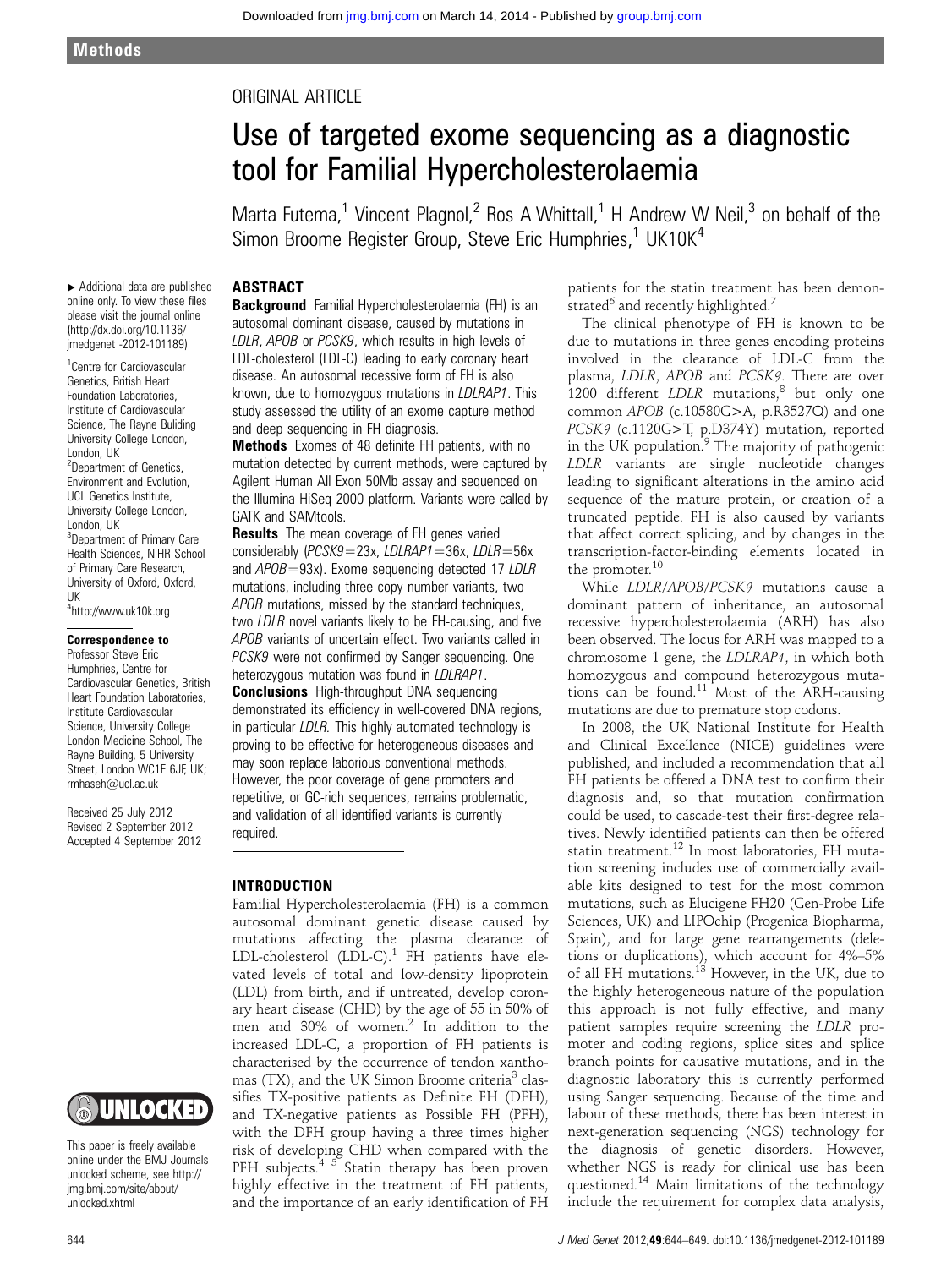## ORIGINAL ARTICLE

# Use of targeted exome sequencing as a diagnostic tool for Familial Hypercholesterolaemia

Marta Futema,<sup>1</sup> Vincent Plagnol,<sup>2</sup> Ros A Whittall,<sup>1</sup> H Andrew W Neil,<sup>3</sup> on behalf of the Simon Broome Register Group, Steve Eric Humphries, $1$  UK10K $4$ 

## ABSTRACT

▸ Additional data are published online only. To view these files please visit the journal online [\(http://dx.doi.org/10.1136/](http://dx.doi.org/10.1136/jmedgenet -2012-101189) [jmedgenet -2012-101189](http://dx.doi.org/10.1136/jmedgenet -2012-101189))

1 Centre for Cardiovascular Genetics, British Heart Foundation Laboratories, Institute of Cardiovascular Science, The Rayne Buliding University College London, London, UK <sup>2</sup>Department of Genetics, Environment and Evolution, UCL Genetics Institute, University College London, London, UK <sup>3</sup>Department of Primary Care Health Sciences, NIHR School of Primary Care Research, University of Oxford, Oxford, UK

4 <http://www.uk10k.org>

## Correspondence to

Professor Steve Eric Humphries, Centre for Cardiovascular Genetics, British Heart Foundation Laboratories, Institute Cardiovascular Science, University College London Medicine School, The Rayne Building, 5 University Street, London WC1E 6JF, UK; rmhaseh@ucl.ac.uk

Received 25 July 2012 Revised 2 September 2012 Accepted 4 September 2012

# **MUNLOCKED**

This paper is freely available online under the BMJ Journals unlocked scheme, see http:// jmg.bmj.com/site/about/ unlocked.xhtml

Background Familial Hypercholesterolaemia (FH) is an autosomal dominant disease, caused by mutations in LDLR, APOB or PCSK9, which results in high levels of LDL-cholesterol (LDL-C) leading to early coronary heart disease. An autosomal recessive form of FH is also known, due to homozygous mutations in LDLRAP1. This study assessed the utility of an exome capture method and deep sequencing in FH diagnosis.

Methods Exomes of 48 definite FH patients, with no mutation detected by current methods, were captured by Agilent Human All Exon 50Mb assay and sequenced on the Illumina HiSeq 2000 platform. Variants were called by GATK and SAMtools.

**Results** The mean coverage of FH genes varied considerably (PCSK9=23x, LDLRAP1=36x, LDLR=56x and  $APOB = 93x$ ). Exome sequencing detected 17 LDLR mutations, including three copy number variants, two APOB mutations, missed by the standard techniques, two *LDLR* novel variants likely to be FH-causing, and five APOB variants of uncertain effect. Two variants called in PCSK9 were not confirmed by Sanger sequencing. One heterozygous mutation was found in LDLRAP1. Conclusions High-throughput DNA sequencing demonstrated its efficiency in well-covered DNA regions, in particular *LDLR*. This highly automated technology is proving to be effective for heterogeneous diseases and may soon replace laborious conventional methods. However, the poor coverage of gene promoters and repetitive, or GC-rich sequences, remains problematic, and validation of all identified variants is currently required.

## INTRODUCTION

Familial Hypercholesterolaemia (FH) is a common autosomal dominant genetic disease caused by mutations affecting the plasma clearance of LDL-cholesterol (LDL-C). $1$  FH patients have elevated levels of total and low-density lipoprotein (LDL) from birth, and if untreated, develop coronary heart disease (CHD) by the age of 55 in 50% of men and  $30\%$  of women.<sup>2</sup> In addition to the increased LDL-C, a proportion of FH patients is characterised by the occurrence of tendon xanthomas (TX), and the UK Simon Broome criteria<sup>3</sup> classifies TX-positive patients as Definite FH (DFH), and TX-negative patients as Possible FH (PFH), with the DFH group having a three times higher risk of developing CHD when compared with the PFH subjects. $45$  Statin therapy has been proven highly effective in the treatment of FH patients, and the importance of an early identification of FH patients for the statin treatment has been demonstrated<sup>6</sup> and recently highlighted.<sup>7</sup>

The clinical phenotype of FH is known to be due to mutations in three genes encoding proteins involved in the clearance of LDL-C from the plasma, LDLR, APOB and PCSK9. There are over 1200 different  $LDLR$  mutations, $8$  but only one common APOB (c.10580G>A, p.R3527Q) and one PCSK9 (c.1120G>T, p.D374Y) mutation, reported in the UK population. $9$  The majority of pathogenic LDLR variants are single nucleotide changes leading to significant alterations in the amino acid sequence of the mature protein, or creation of a truncated peptide. FH is also caused by variants that affect correct splicing, and by changes in the transcription-factor-binding elements located in the promoter.<sup>10</sup>

While LDLR/APOB/PCSK9 mutations cause a dominant pattern of inheritance, an autosomal recessive hypercholesterolaemia (ARH) has also been observed. The locus for ARH was mapped to a chromosome 1 gene, the LDLRAP1, in which both homozygous and compound heterozygous mutations can be found.11 Most of the ARH-causing mutations are due to premature stop codons.

In 2008, the UK National Institute for Health and Clinical Excellence (NICE) guidelines were published, and included a recommendation that all FH patients be offered a DNA test to confirm their diagnosis and, so that mutation confirmation could be used, to cascade-test their first-degree relatives. Newly identified patients can then be offered statin treatment.<sup>12</sup> In most laboratories, FH mutation screening includes use of commercially available kits designed to test for the most common mutations, such as Elucigene FH20 (Gen-Probe Life Sciences, UK) and LIPOchip (Progenica Biopharma, Spain), and for large gene rearrangements (deletions or duplications), which account for 4%–5% of all FH mutations.<sup>13</sup> However, in the UK, due to the highly heterogeneous nature of the population this approach is not fully effective, and many patient samples require screening the LDLR promoter and coding regions, splice sites and splice branch points for causative mutations, and in the diagnostic laboratory this is currently performed using Sanger sequencing. Because of the time and labour of these methods, there has been interest in next-generation sequencing (NGS) technology for the diagnosis of genetic disorders. However, whether NGS is ready for clinical use has been questioned.<sup>14</sup> Main limitations of the technology include the requirement for complex data analysis,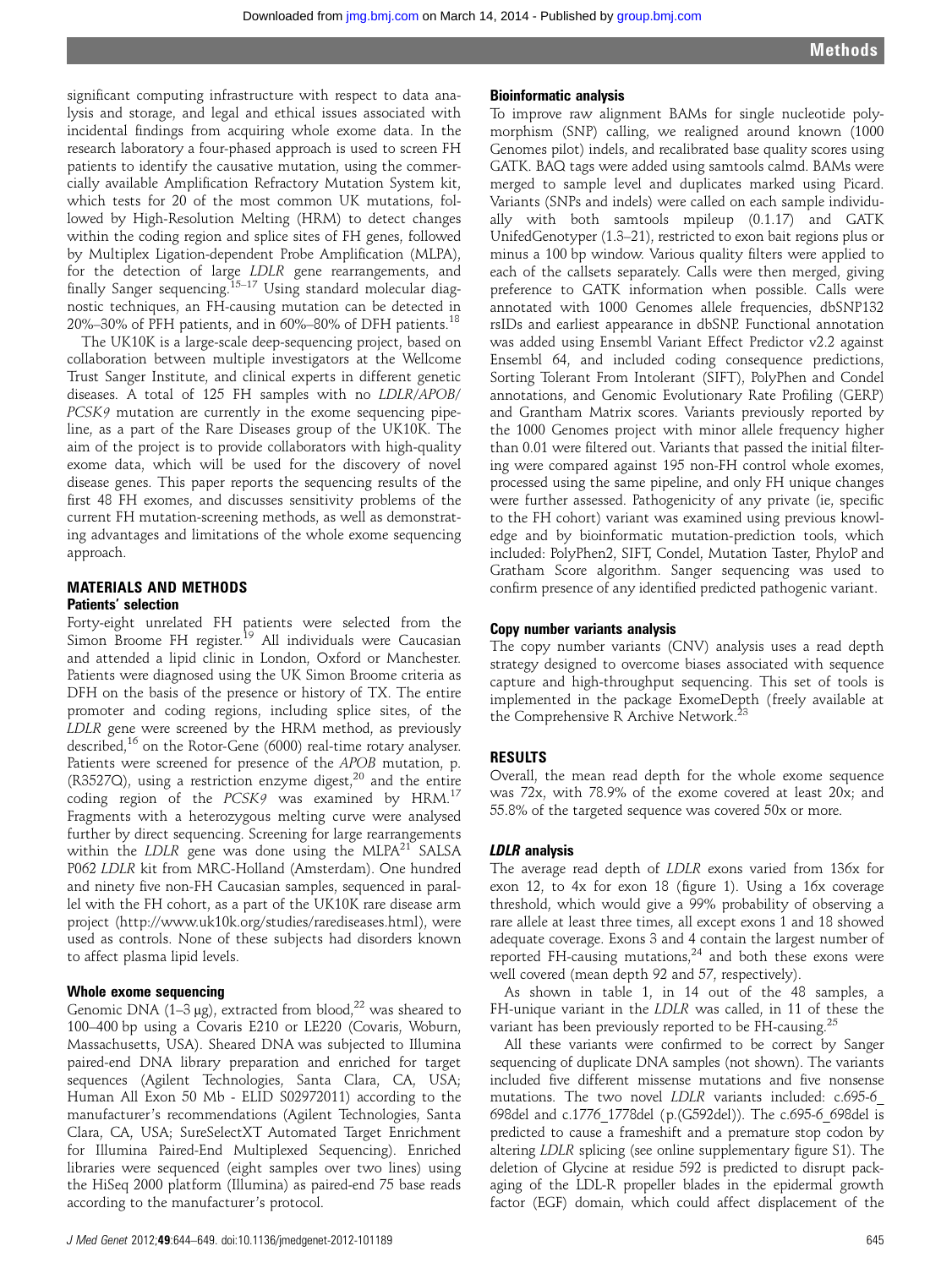significant computing infrastructure with respect to data analysis and storage, and legal and ethical issues associated with incidental findings from acquiring whole exome data. In the research laboratory a four-phased approach is used to screen FH patients to identify the causative mutation, using the commercially available Amplification Refractory Mutation System kit, which tests for 20 of the most common UK mutations, followed by High-Resolution Melting (HRM) to detect changes within the coding region and splice sites of FH genes, followed by Multiplex Ligation-dependent Probe Amplification (MLPA), for the detection of large LDLR gene rearrangements, and finally Sanger sequencing.<sup>15-17</sup> Using standard molecular diagnostic techniques, an FH-causing mutation can be detected in 20%–30% of PFH patients, and in 60%–80% of DFH patients.<sup>18</sup>

The UK10K is a large-scale deep-sequencing project, based on collaboration between multiple investigators at the Wellcome Trust Sanger Institute, and clinical experts in different genetic diseases. A total of 125 FH samples with no LDLR/APOB/ PCSK9 mutation are currently in the exome sequencing pipeline, as a part of the Rare Diseases group of the UK10K. The aim of the project is to provide collaborators with high-quality exome data, which will be used for the discovery of novel disease genes. This paper reports the sequencing results of the first 48 FH exomes, and discusses sensitivity problems of the current FH mutation-screening methods, as well as demonstrating advantages and limitations of the whole exome sequencing approach.

## MATERIALS AND METHODS

## Patients' selection

Forty-eight unrelated FH patients were selected from the Simon Broome FH register.<sup>19</sup> All individuals were Caucasian and attended a lipid clinic in London, Oxford or Manchester. Patients were diagnosed using the UK Simon Broome criteria as DFH on the basis of the presence or history of TX. The entire promoter and coding regions, including splice sites, of the LDLR gene were screened by the HRM method, as previously described,<sup>16</sup> on the Rotor-Gene (6000) real-time rotary analyser. Patients were screened for presence of the APOB mutation, p. (R3527Q), using a restriction enzyme digest, $^{20}$  and the entire coding region of the  $PCSK9$  was examined by HRM.<sup>17</sup> Fragments with a heterozygous melting curve were analysed further by direct sequencing. Screening for large rearrangements within the LDLR gene was done using the MLPA $^{21}$  SALSA P062 LDLR kit from MRC-Holland (Amsterdam). One hundred and ninety five non-FH Caucasian samples, sequenced in parallel with the FH cohort, as a part of the UK10K rare disease arm project (<http://www.uk10k.org/studies/rarediseases.html>), were used as controls. None of these subjects had disorders known to affect plasma lipid levels.

## Whole exome sequencing

Genomic DNA (1–3 µg), extracted from blood,<sup>22</sup> was sheared to 100–400 bp using a Covaris E210 or LE220 (Covaris, Woburn, Massachusetts, USA). Sheared DNA was subjected to Illumina paired-end DNA library preparation and enriched for target sequences (Agilent Technologies, Santa Clara, CA, USA; Human All Exon 50 Mb - ELID S02972011) according to the manufacturer's recommendations (Agilent Technologies, Santa Clara, CA, USA; SureSelectXT Automated Target Enrichment for Illumina Paired-End Multiplexed Sequencing). Enriched libraries were sequenced (eight samples over two lines) using the HiSeq 2000 platform (Illumina) as paired-end 75 base reads according to the manufacturer's protocol.

#### Bioinformatic analysis

To improve raw alignment BAMs for single nucleotide polymorphism (SNP) calling, we realigned around known (1000 Genomes pilot) indels, and recalibrated base quality scores using GATK. BAQ tags were added using samtools calmd. BAMs were merged to sample level and duplicates marked using Picard. Variants (SNPs and indels) were called on each sample individually with both samtools mpileup (0.1.17) and GATK UnifedGenotyper (1.3–21), restricted to exon bait regions plus or minus a 100 bp window. Various quality filters were applied to each of the callsets separately. Calls were then merged, giving preference to GATK information when possible. Calls were annotated with 1000 Genomes allele frequencies, dbSNP132 rsIDs and earliest appearance in dbSNP. Functional annotation was added using Ensembl Variant Effect Predictor v2.2 against Ensembl 64, and included coding consequence predictions, Sorting Tolerant From Intolerant (SIFT), PolyPhen and Condel annotations, and Genomic Evolutionary Rate Profiling (GERP) and Grantham Matrix scores. Variants previously reported by the 1000 Genomes project with minor allele frequency higher than 0.01 were filtered out. Variants that passed the initial filtering were compared against 195 non-FH control whole exomes, processed using the same pipeline, and only FH unique changes were further assessed. Pathogenicity of any private (ie, specific to the FH cohort) variant was examined using previous knowledge and by bioinformatic mutation-prediction tools, which included: PolyPhen2, SIFT, Condel, Mutation Taster, PhyloP and Gratham Score algorithm. Sanger sequencing was used to confirm presence of any identified predicted pathogenic variant.

## Copy number variants analysis

The copy number variants (CNV) analysis uses a read depth strategy designed to overcome biases associated with sequence capture and high-throughput sequencing. This set of tools is implemented in the package ExomeDepth (freely available at the Comprehensive R Archive Network.<sup>23</sup>

## RESULTS

Overall, the mean read depth for the whole exome sequence was 72x, with 78.9% of the exome covered at least 20x; and 55.8% of the targeted sequence was covered 50x or more.

## LDLR analysis

The average read depth of LDLR exons varied from 136x for exon 12, to 4x for exon 18 (figure 1). Using a 16x coverage threshold, which would give a 99% probability of observing a rare allele at least three times, all except exons 1 and 18 showed adequate coverage. Exons 3 and 4 contain the largest number of reported FH-causing mutations, $24$  and both these exons were well covered (mean depth 92 and 57, respectively).

As shown in table 1, in 14 out of the 48 samples, a FH-unique variant in the LDLR was called, in 11 of these the variant has been previously reported to be FH-causing.<sup>25</sup>

All these variants were confirmed to be correct by Sanger sequencing of duplicate DNA samples (not shown). The variants included five different missense mutations and five nonsense mutations. The two novel LDLR variants included: c.695-6\_ 698del and c.1776\_1778del (p.(G592del)). The c.695-6\_698del is predicted to cause a frameshift and a premature stop codon by altering LDLR splicing (see online supplementary figure S1). The deletion of Glycine at residue 592 is predicted to disrupt packaging of the LDL-R propeller blades in the epidermal growth factor (EGF) domain, which could affect displacement of the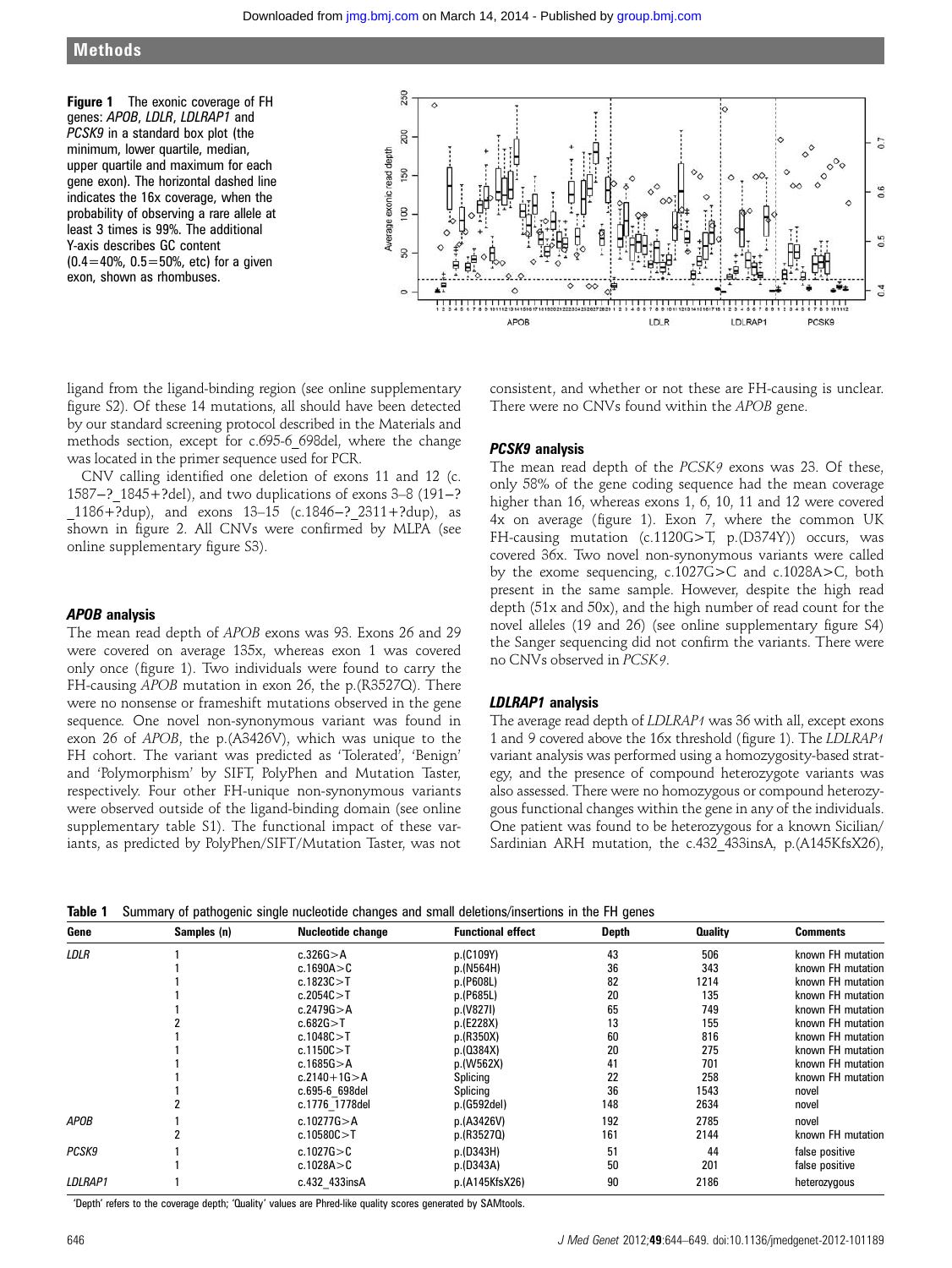## Methods

Figure 1 The exonic coverage of FH genes: APOB, LDLR, LDLRAP1 and PCSK9 in a standard box plot (the minimum, lower quartile, median, upper quartile and maximum for each gene exon). The horizontal dashed line indicates the 16x coverage, when the probability of observing a rare allele at least 3 times is 99%. The additional Y-axis describes GC content  $(0.4=40\% , 0.5=50\% ,$  etc) for a given exon, shown as rhombuses.



ligand from the ligand-binding region (see online supplementary figure S2). Of these 14 mutations, all should have been detected by our standard screening protocol described in the Materials and methods section, except for c.695-6 698del, where the change was located in the primer sequence used for PCR.

CNV calling identified one deletion of exons 11 and 12 (c. 1587−? 1845+?del), and two duplications of exons 3–8 (191−?  $1186 + ?$ dup), and exons  $13-15$  (c.1846-?  $2311+?$ dup), as shown in figure 2. All CNVs were confirmed by MLPA (see online supplementary figure S3).

#### APOB analysis

The mean read depth of APOB exons was 93. Exons 26 and 29 were covered on average 135x, whereas exon 1 was covered only once (figure 1). Two individuals were found to carry the FH-causing APOB mutation in exon 26, the p.(R3527Q). There were no nonsense or frameshift mutations observed in the gene sequence. One novel non-synonymous variant was found in exon 26 of APOB, the p.(A3426V), which was unique to the FH cohort. The variant was predicted as 'Tolerated', 'Benign' and 'Polymorphism' by SIFT, PolyPhen and Mutation Taster, respectively. Four other FH-unique non-synonymous variants were observed outside of the ligand-binding domain (see online supplementary table S1). The functional impact of these variants, as predicted by PolyPhen/SIFT/Mutation Taster, was not consistent, and whether or not these are FH-causing is unclear. There were no CNVs found within the APOB gene.

## PCSK9 analysis

The mean read depth of the PCSK9 exons was 23. Of these, only 58% of the gene coding sequence had the mean coverage higher than 16, whereas exons 1, 6, 10, 11 and 12 were covered 4x on average (figure 1). Exon 7, where the common UK FH-causing mutation (c.1120G>T, p.(D374Y)) occurs, was covered 36x. Two novel non-synonymous variants were called by the exome sequencing, c.1027G>C and c.1028A>C, both present in the same sample. However, despite the high read depth (51x and 50x), and the high number of read count for the novel alleles (19 and 26) (see online supplementary figure S4) the Sanger sequencing did not confirm the variants. There were no CNVs observed in PCSK9.

### LDLRAP1 analysis

The average read depth of LDLRAP1 was 36 with all, except exons 1 and 9 covered above the 16x threshold (figure 1). The LDLRAP1 variant analysis was performed using a homozygosity-based strategy, and the presence of compound heterozygote variants was also assessed. There were no homozygous or compound heterozygous functional changes within the gene in any of the individuals. One patient was found to be heterozygous for a known Sicilian/ Sardinian ARH mutation, the c.432\_433insA, p.(A145KfsX26),

|  | Table 1 Summary of pathogenic single nucleotide changes and small deletions/insertions in the FH genes |  |  |  |  |  |  |  |  |  |  |
|--|--------------------------------------------------------------------------------------------------------|--|--|--|--|--|--|--|--|--|--|
|--|--------------------------------------------------------------------------------------------------------|--|--|--|--|--|--|--|--|--|--|

| Gene         | Samples (n) | <b>Nucleotide change</b> | <b>Functional effect</b> | Depth | <b>Quality</b> | <b>Comments</b>   |
|--------------|-------------|--------------------------|--------------------------|-------|----------------|-------------------|
| <b>LDLR</b>  |             | c.326G > A               | p.(C109Y)                | 43    | 506            | known FH mutation |
|              |             | c.1690 $A > C$           | p.(N564H)                | 36    | 343            | known FH mutation |
|              |             | c.1823C > T              | p.(P608L)                | 82    | 1214           | known FH mutation |
|              |             | c.2054C > T              | p.(P685L)                | 20    | 135            | known FH mutation |
|              |             | c.2479G > A              | p.(V827I)                | 65    | 749            | known FH mutation |
|              |             | c.682G > T               | p.(E228X)                | 13    | 155            | known FH mutation |
|              |             | c.1048C > T              | p.(R350X)                | 60    | 816            | known FH mutation |
|              |             | c.1150C > T              | p.(0384X)                | 20    | 275            | known FH mutation |
|              |             | c.1685 $G > A$           | p.(W562X)                | 41    | 701            | known FH mutation |
|              |             | $c.2140 + 1G > A$        | Splicing                 | 22    | 258            | known FH mutation |
|              |             | c.695-6 698del           | Splicing                 | 36    | 1543           | novel             |
|              |             | c.1776 1778del           | p.(G592del)              | 148   | 2634           | novel             |
| <b>APOB</b>  |             | c.10277 $G > A$          | p.(A3426V)               | 192   | 2785           | novel             |
|              |             | c.10580C > T             | p.(R35270)               | 161   | 2144           | known FH mutation |
| <b>PCSK9</b> |             | c.1027 $G > C$           | p.(D343H)                | 51    | 44             | false positive    |
|              |             | c.1028 $A > C$           | p.(D343A)                | 50    | 201            | false positive    |
| LDLRAP1      |             | c.432 433insA            | p.(A145KfsX26)           | 90    | 2186           | heterozygous      |

'Depth' refers to the coverage depth; 'Quality' values are Phred-like quality scores generated by SAMtools.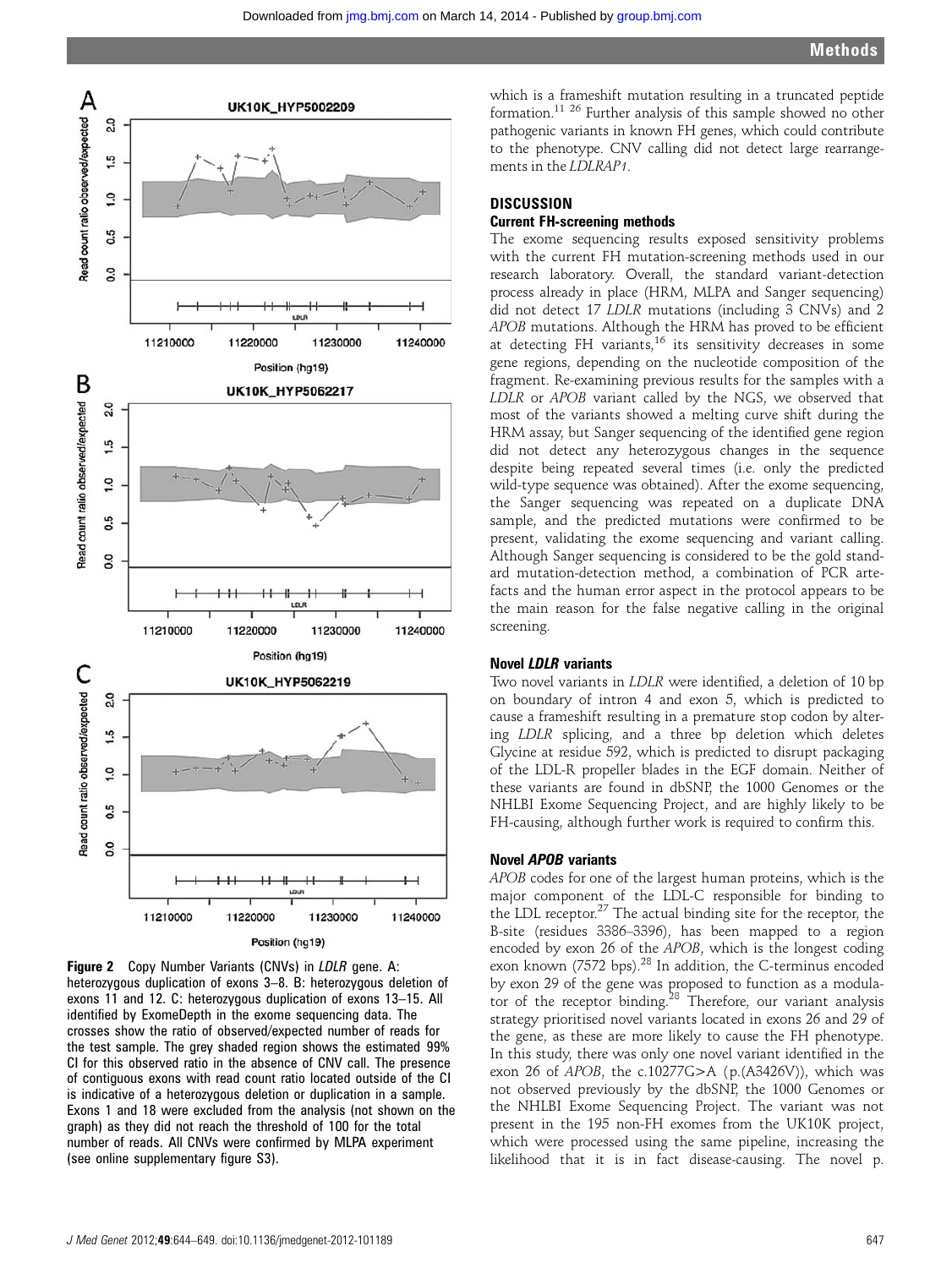

**Figure 2** Copy Number Variants (CNVs) in *LDLR* gene. A: heterozygous duplication of exons 3–8. B: heterozygous deletion of exons 11 and 12. C: heterozygous duplication of exons 13–15. All identified by ExomeDepth in the exome sequencing data. The crosses show the ratio of observed/expected number of reads for the test sample. The grey shaded region shows the estimated 99% CI for this observed ratio in the absence of CNV call. The presence of contiguous exons with read count ratio located outside of the CI is indicative of a heterozygous deletion or duplication in a sample. Exons 1 and 18 were excluded from the analysis (not shown on the graph) as they did not reach the threshold of 100 for the total number of reads. All CNVs were confirmed by MLPA experiment (see online supplementary figure S3).

which is a frameshift mutation resulting in a truncated peptide formation.11 26 Further analysis of this sample showed no other pathogenic variants in known FH genes, which could contribute to the phenotype. CNV calling did not detect large rearrangements in the LDLRAP1.

## DISCUSSION

## Current FH-screening methods

The exome sequencing results exposed sensitivity problems with the current FH mutation-screening methods used in our research laboratory. Overall, the standard variant-detection process already in place (HRM, MLPA and Sanger sequencing) did not detect 17 LDLR mutations (including 3 CNVs) and 2 APOB mutations. Although the HRM has proved to be efficient at detecting FH variants,<sup>16</sup> its sensitivity decreases in some gene regions, depending on the nucleotide composition of the fragment. Re-examining previous results for the samples with a LDLR or APOB variant called by the NGS, we observed that most of the variants showed a melting curve shift during the HRM assay, but Sanger sequencing of the identified gene region did not detect any heterozygous changes in the sequence despite being repeated several times (i.e. only the predicted wild-type sequence was obtained). After the exome sequencing, the Sanger sequencing was repeated on a duplicate DNA sample, and the predicted mutations were confirmed to be present, validating the exome sequencing and variant calling. Although Sanger sequencing is considered to be the gold standard mutation-detection method, a combination of PCR artefacts and the human error aspect in the protocol appears to be the main reason for the false negative calling in the original screening.

## Novel LDLR variants

Two novel variants in LDLR were identified, a deletion of 10 bp on boundary of intron 4 and exon 5, which is predicted to cause a frameshift resulting in a premature stop codon by altering LDLR splicing, and a three bp deletion which deletes Glycine at residue 592, which is predicted to disrupt packaging of the LDL-R propeller blades in the EGF domain. Neither of these variants are found in dbSNP, the 1000 Genomes or the NHLBI Exome Sequencing Project, and are highly likely to be FH-causing, although further work is required to confirm this.

## Novel APOB variants

APOB codes for one of the largest human proteins, which is the major component of the LDL-C responsible for binding to the LDL receptor.<sup>27</sup> The actual binding site for the receptor, the B-site (residues 3386–3396), has been mapped to a region encoded by exon 26 of the APOB, which is the longest coding exon known (7572 bps).<sup>28</sup> In addition, the C-terminus encoded by exon 29 of the gene was proposed to function as a modulator of the receptor binding.<sup>28</sup> Therefore, our variant analysis strategy prioritised novel variants located in exons 26 and 29 of the gene, as these are more likely to cause the FH phenotype. In this study, there was only one novel variant identified in the exon 26 of APOB, the c.10277G>A (p.(A3426V)), which was not observed previously by the dbSNP, the 1000 Genomes or the NHLBI Exome Sequencing Project. The variant was not present in the 195 non-FH exomes from the UK10K project, which were processed using the same pipeline, increasing the likelihood that it is in fact disease-causing. The novel p.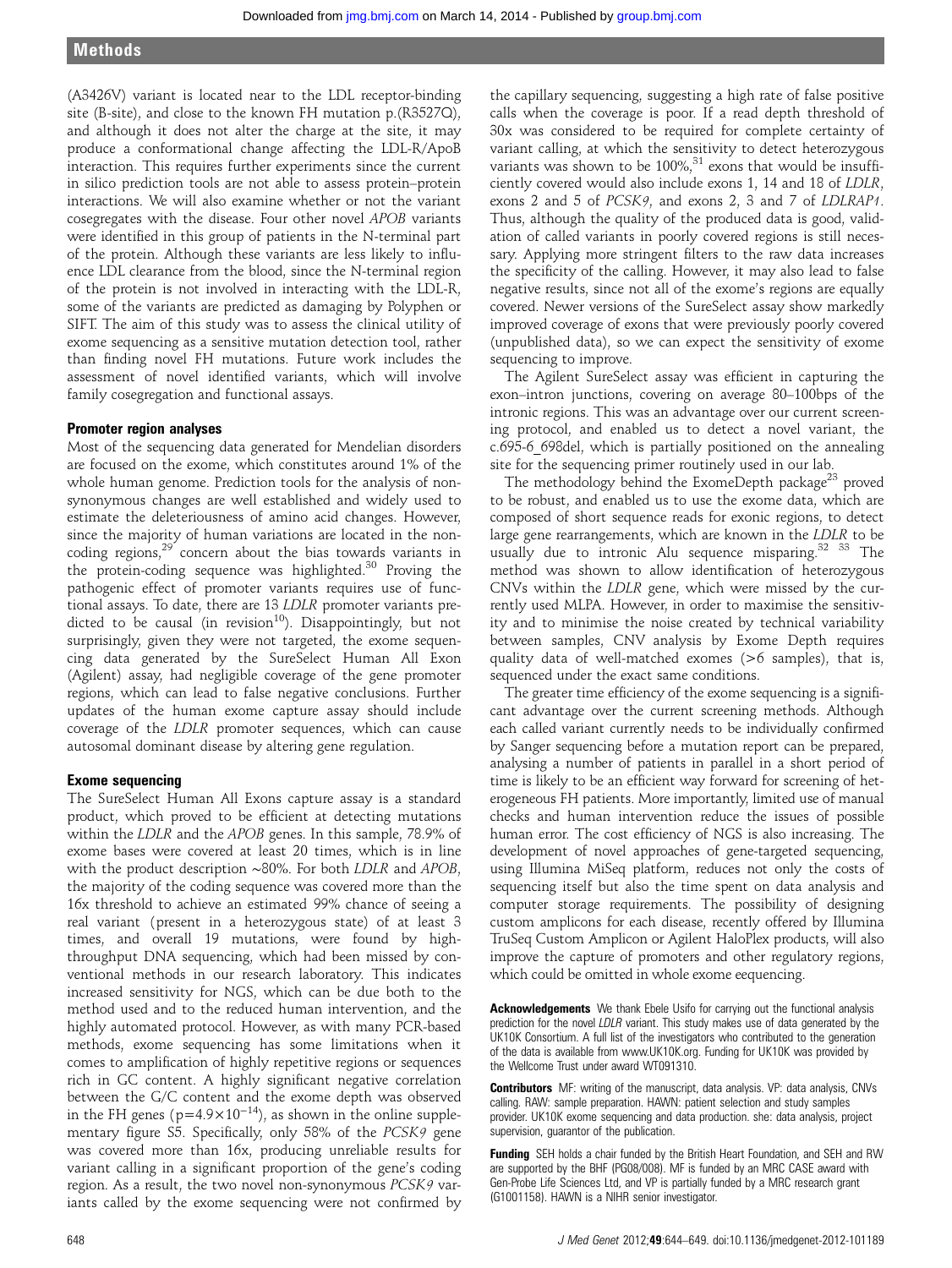(A3426V) variant is located near to the LDL receptor-binding site (B-site), and close to the known FH mutation p.(R3527Q), and although it does not alter the charge at the site, it may produce a conformational change affecting the LDL-R/ApoB interaction. This requires further experiments since the current in silico prediction tools are not able to assess protein–protein interactions. We will also examine whether or not the variant cosegregates with the disease. Four other novel APOB variants were identified in this group of patients in the N-terminal part of the protein. Although these variants are less likely to influence LDL clearance from the blood, since the N-terminal region of the protein is not involved in interacting with the LDL-R, some of the variants are predicted as damaging by Polyphen or SIFT. The aim of this study was to assess the clinical utility of exome sequencing as a sensitive mutation detection tool, rather than finding novel FH mutations. Future work includes the assessment of novel identified variants, which will involve family cosegregation and functional assays.

## Promoter region analyses

Most of the sequencing data generated for Mendelian disorders are focused on the exome, which constitutes around 1% of the whole human genome. Prediction tools for the analysis of nonsynonymous changes are well established and widely used to estimate the deleteriousness of amino acid changes. However, since the majority of human variations are located in the noncoding regions, $29$  concern about the bias towards variants in the protein-coding sequence was highlighted.<sup>30</sup> Proving the pathogenic effect of promoter variants requires use of functional assays. To date, there are 13 LDLR promoter variants predicted to be causal (in revision<sup>10</sup>). Disappointingly, but not surprisingly, given they were not targeted, the exome sequencing data generated by the SureSelect Human All Exon (Agilent) assay, had negligible coverage of the gene promoter regions, which can lead to false negative conclusions. Further updates of the human exome capture assay should include coverage of the LDLR promoter sequences, which can cause autosomal dominant disease by altering gene regulation.

#### Exome sequencing

The SureSelect Human All Exons capture assay is a standard product, which proved to be efficient at detecting mutations within the LDLR and the APOB genes. In this sample, 78.9% of exome bases were covered at least 20 times, which is in line with the product description ∼80%. For both *LDLR* and *APOB*, the majority of the coding sequence was covered more than the 16x threshold to achieve an estimated 99% chance of seeing a real variant (present in a heterozygous state) of at least 3 times, and overall 19 mutations, were found by highthroughput DNA sequencing, which had been missed by conventional methods in our research laboratory. This indicates increased sensitivity for NGS, which can be due both to the method used and to the reduced human intervention, and the highly automated protocol. However, as with many PCR-based methods, exome sequencing has some limitations when it comes to amplification of highly repetitive regions or sequences rich in GC content. A highly significant negative correlation between the G/C content and the exome depth was observed in the FH genes ( $p=4.9\times10^{-14}$ ), as shown in the online supplementary figure S5. Specifically, only 58% of the PCSK9 gene was covered more than 16x, producing unreliable results for variant calling in a significant proportion of the gene's coding region. As a result, the two novel non-synonymous PCSK9 variants called by the exome sequencing were not confirmed by

the capillary sequencing, suggesting a high rate of false positive calls when the coverage is poor. If a read depth threshold of 30x was considered to be required for complete certainty of variant calling, at which the sensitivity to detect heterozygous variants was shown to be  $100\%$ ,  $31$  exons that would be insufficiently covered would also include exons 1, 14 and 18 of LDLR, exons 2 and 5 of PCSK9, and exons 2, 3 and 7 of LDLRAP1. Thus, although the quality of the produced data is good, validation of called variants in poorly covered regions is still necessary. Applying more stringent filters to the raw data increases the specificity of the calling. However, it may also lead to false negative results, since not all of the exome's regions are equally covered. Newer versions of the SureSelect assay show markedly improved coverage of exons that were previously poorly covered (unpublished data), so we can expect the sensitivity of exome sequencing to improve.

The Agilent SureSelect assay was efficient in capturing the exon–intron junctions, covering on average 80–100bps of the intronic regions. This was an advantage over our current screening protocol, and enabled us to detect a novel variant, the c.695-6 698del, which is partially positioned on the annealing site for the sequencing primer routinely used in our lab.

The methodology behind the ExomeDepth package<sup>23</sup> proved to be robust, and enabled us to use the exome data, which are composed of short sequence reads for exonic regions, to detect large gene rearrangements, which are known in the LDLR to be usually due to intronic Alu sequence misparing.<sup>32</sup> <sup>33</sup> The method was shown to allow identification of heterozygous CNVs within the LDLR gene, which were missed by the currently used MLPA. However, in order to maximise the sensitivity and to minimise the noise created by technical variability between samples, CNV analysis by Exome Depth requires quality data of well-matched exomes (>6 samples), that is, sequenced under the exact same conditions.

The greater time efficiency of the exome sequencing is a significant advantage over the current screening methods. Although each called variant currently needs to be individually confirmed by Sanger sequencing before a mutation report can be prepared, analysing a number of patients in parallel in a short period of time is likely to be an efficient way forward for screening of heterogeneous FH patients. More importantly, limited use of manual checks and human intervention reduce the issues of possible human error. The cost efficiency of NGS is also increasing. The development of novel approaches of gene-targeted sequencing, using Illumina MiSeq platform, reduces not only the costs of sequencing itself but also the time spent on data analysis and computer storage requirements. The possibility of designing custom amplicons for each disease, recently offered by Illumina TruSeq Custom Amplicon or Agilent HaloPlex products, will also improve the capture of promoters and other regulatory regions, which could be omitted in whole exome eequencing.

Acknowledgements We thank Ebele Usifo for carrying out the functional analysis prediction for the novel LDLR variant. This study makes use of data generated by the UK10K Consortium. A full list of the investigators who contributed to the generation of the data is available from [www.UK10K.org.](www.UK10K.org) Funding for UK10K was provided by the Wellcome Trust under award WT091310.

Contributors MF: writing of the manuscript, data analysis. VP: data analysis, CNVs calling. RAW: sample preparation. HAWN: patient selection and study samples provider. UK10K exome sequencing and data production. she: data analysis, project supervision, guarantor of the publication.

Funding SEH holds a chair funded by the British Heart Foundation, and SEH and RW are supported by the BHF (PG08/008). MF is funded by an MRC CASE award with Gen-Probe Life Sciences Ltd, and VP is partially funded by a MRC research grant (G1001158). HAWN is a NIHR senior investigator.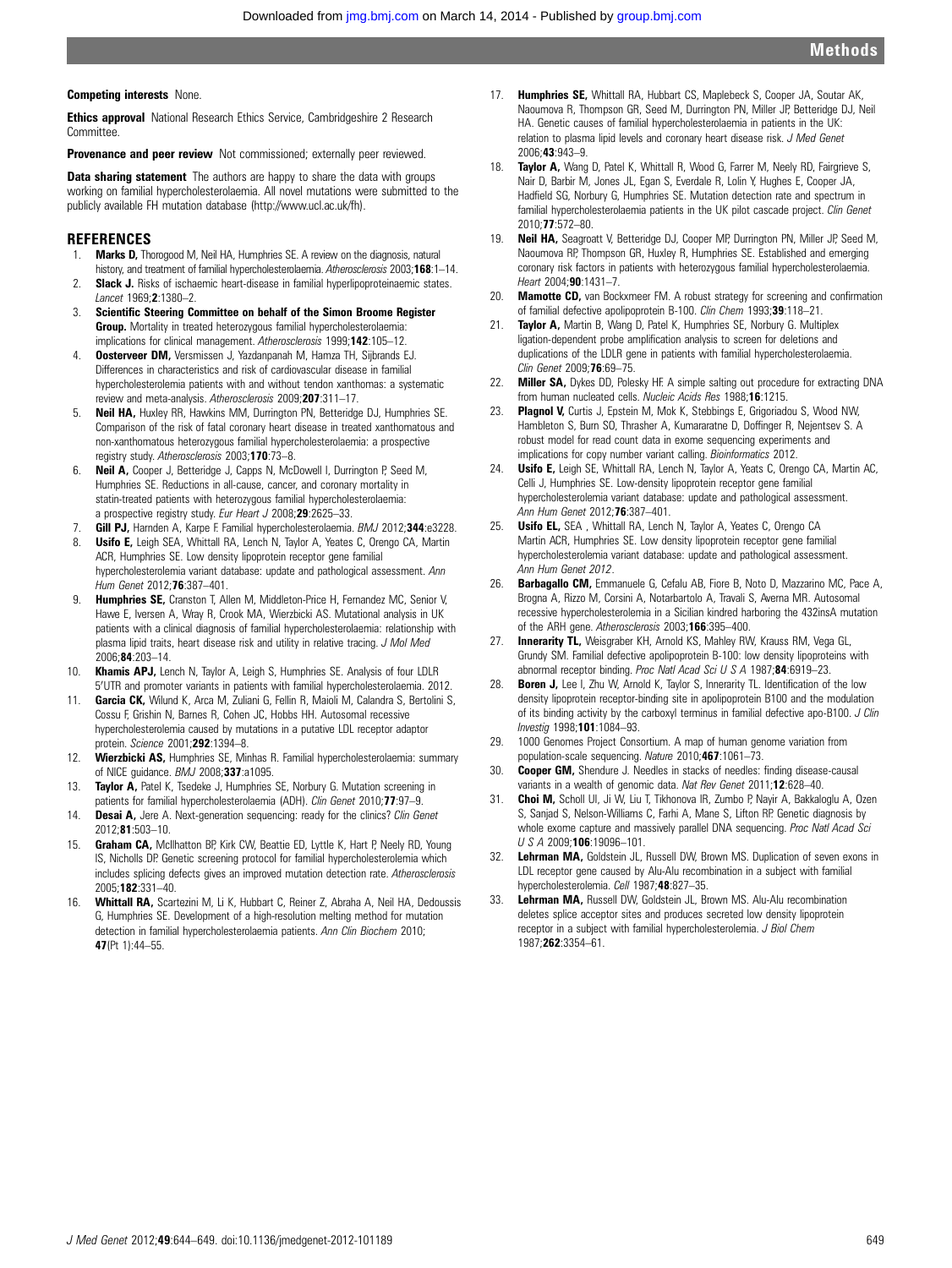Competing interests None.

Ethics approval National Research Ethics Service, Cambridgeshire 2 Research **Committee** 

**Provenance and peer review** Not commissioned; externally peer reviewed.

**Data sharing statement** The authors are happy to share the data with groups working on familial hypercholesterolaemia. All novel mutations were submitted to the publicly available FH mutation database [\(http://www.ucl.ac.uk/fh](http://www.ucl.ac.uk/fh)).

## **REFERENCES**

- 1. **Marks D.** Thorogood M. Neil HA, Humphries SE, A review on the diagnosis, natural history, and treatment of familial hypercholesterolaemia. Atherosclerosis 2003;168:1-14.
- 2. **Slack J.** Risks of ischaemic heart-disease in familial hyperlipoproteinaemic states. Lancet 1969;2:1380–2.
- 3. Scientific Steering Committee on behalf of the Simon Broome Register **Group.** Mortality in treated heterozygous familial hypercholesterolaemia: implications for clinical management. Atherosclerosis 1999;142:105-12.
- 4. Oosterveer DM, Versmissen J, Yazdanpanah M, Hamza TH, Sijbrands EJ. Differences in characteristics and risk of cardiovascular disease in familial hypercholesterolemia patients with and without tendon xanthomas: a systematic review and meta-analysis. Atherosclerosis 2009;207:311–17.
- 5. Neil HA, Huxley RR, Hawkins MM, Durrington PN, Betteridge DJ, Humphries SE. Comparison of the risk of fatal coronary heart disease in treated xanthomatous and non-xanthomatous heterozygous familial hypercholesterolaemia: a prospective registry study. Atherosclerosis 2003;170:73–8.
- 6. Neil A, Cooper J, Betteridge J, Capps N, McDowell I, Durrington P, Seed M, Humphries SE. Reductions in all-cause, cancer, and coronary mortality in statin-treated patients with heterozygous familial hypercholesterolaemia: a prospective registry study. Eur Heart J 2008;29:2625–33.
- 7. Gill PJ, Harnden A, Karpe F. Familial hypercholesterolaemia. BMJ 2012;344:e3228.
- 8. **Usifo E,** Leigh SEA, Whittall RA, Lench N, Taylor A, Yeates C, Orengo CA, Martin ACR, Humphries SE. Low density lipoprotein receptor gene familial hypercholesterolemia variant database: update and pathological assessment. Ann Hum Genet 2012;76:387–401.
- 9. Humphries SE, Cranston T, Allen M, Middleton-Price H, Fernandez MC, Senior V, Hawe E, Iversen A, Wray R, Crook MA, Wierzbicki AS. Mutational analysis in UK patients with a clinical diagnosis of familial hypercholesterolaemia: relationship with plasma lipid traits, heart disease risk and utility in relative tracing. J Mol Med 2006;84:203–14.
- 10. **Khamis APJ,** Lench N, Taylor A, Leigh S, Humphries SE. Analysis of four LDLR 5'UTR and promoter variants in patients with familial hypercholesterolaemia. 2012.
- 11. Garcia CK, Wilund K, Arca M, Zuliani G, Fellin R, Maioli M, Calandra S, Bertolini S, Cossu F, Grishin N, Barnes R, Cohen JC, Hobbs HH. Autosomal recessive hypercholesterolemia caused by mutations in a putative LDL receptor adaptor protein. Science 2001;292:1394–8.
- 12. Wierzbicki AS, Humphries SE, Minhas R. Familial hypercholesterolaemia: summary of NICE guidance. BMJ 2008;337:a1095.
- 13. Taylor A, Patel K, Tsedeke J, Humphries SE, Norbury G. Mutation screening in patients for familial hypercholesterolaemia (ADH). Clin Genet 2010;77:97-9.
- 14. **Desai A,** Jere A. Next-generation sequencing: ready for the clinics? Clin Genet 2012;81:503–10.
- 15. Graham CA, McIlhatton BP, Kirk CW, Beattie ED, Lyttle K, Hart P, Neely RD, Young IS, Nicholls DP. Genetic screening protocol for familial hypercholesterolemia which includes splicing defects gives an improved mutation detection rate. Atherosclerosis 2005;182:331–40.
- 16. Whittall RA, Scartezini M, Li K, Hubbart C, Reiner Z, Abraha A, Neil HA, Dedoussis G, Humphries SE. Development of a high-resolution melting method for mutation detection in familial hypercholesterolaemia patients. Ann Clin Biochem 2010; 47(Pt 1):44–55.
- 17. Humphries SE, Whittall RA, Hubbart CS, Maplebeck S, Cooper JA, Soutar AK, Naoumova R, Thompson GR, Seed M, Durrington PN, Miller JP, Betteridge DJ, Neil HA. Genetic causes of familial hypercholesterolaemia in patients in the UK: relation to plasma lipid levels and coronary heart disease risk. J Med Genet 2006;43:943–9.
- 18. Taylor A, Wang D, Patel K, Whittall R, Wood G, Farrer M, Neely RD, Fairgrieve S, Nair D, Barbir M, Jones JL, Egan S, Everdale R, Lolin Y, Hughes E, Cooper JA, Hadfield SG, Norbury G, Humphries SE. Mutation detection rate and spectrum in familial hypercholesterolaemia patients in the UK pilot cascade project. Clin Genet 2010;77:572–80.
- 19. Neil HA, Seagroatt V, Betteridge DJ, Cooper MP, Durrington PN, Miller JP, Seed M, Naoumova RP, Thompson GR, Huxley R, Humphries SE. Established and emerging coronary risk factors in patients with heterozygous familial hypercholesterolaemia. Heart 2004; 90:1431-7.
- 20. **Mamotte CD,** van Bockxmeer FM. A robust strategy for screening and confirmation of familial defective apolipoprotein B-100. Clin Chem 1993;39:118-21.
- 21. Taylor A, Martin B, Wang D, Patel K, Humphries SE, Norbury G. Multiplex ligation-dependent probe amplification analysis to screen for deletions and duplications of the LDLR gene in patients with familial hypercholesterolaemia. Clin Genet 2009;76:69-75.
- 22. Miller SA, Dykes DD, Polesky HF. A simple salting out procedure for extracting DNA from human nucleated cells. Nucleic Acids Res 1988;16:1215.
- 23. Plagnol V, Curtis J, Epstein M, Mok K, Stebbings E, Grigoriadou S, Wood NW, Hambleton S, Burn SO, Thrasher A, Kumararatne D, Doffinger R, Nejentsev S. A robust model for read count data in exome sequencing experiments and implications for copy number variant calling. Bioinformatics 2012.
- Usifo E, Leigh SE, Whittall RA, Lench N, Taylor A, Yeats C, Orengo CA, Martin AC, Celli J, Humphries SE. Low-density lipoprotein receptor gene familial hypercholesterolemia variant database: update and pathological assessment. Ann Hum Genet 2012;76:387–401.
- 25. **Usifo EL, SEA**, Whittall RA, Lench N, Taylor A, Yeates C, Orengo CA Martin ACR, Humphries SE. Low density lipoprotein receptor gene familial hypercholesterolemia variant database: update and pathological assessment. Ann Hum Genet 2012.
- 26. Barbagallo CM, Emmanuele G, Cefalu AB, Fiore B, Noto D, Mazzarino MC, Pace A, Brogna A, Rizzo M, Corsini A, Notarbartolo A, Travali S, Averna MR. Autosomal recessive hypercholesterolemia in a Sicilian kindred harboring the 432insA mutation of the ARH gene. Atherosclerosis 2003;166:395–400.
- 27. **Innerarity TL, Weisgraber KH, Arnold KS, Mahley RW, Krauss RM, Vega GL,** Grundy SM. Familial defective apolipoprotein B-100: low density lipoproteins with abnormal receptor binding. Proc Natl Acad Sci U S A 1987;84:6919-23.
- 28. **Boren J,** Lee I, Zhu W, Arnold K, Taylor S, Innerarity TL. Identification of the low density lipoprotein receptor-binding site in apolipoprotein B100 and the modulation of its binding activity by the carboxyl terminus in familial defective apo-B100. J Clin Investig 1998;101:1084–93.
- 29. 1000 Genomes Project Consortium. A map of human genome variation from population-scale sequencing. Nature 2010;467:1061–73.
- 30. Cooper GM, Shendure J. Needles in stacks of needles: finding disease-causal variants in a wealth of genomic data. Nat Rev Genet 2011;12:628-40.
- 31. Choi M, Scholl UI, Ji W, Liu T, Tikhonova IR, Zumbo P, Nayir A, Bakkaloglu A, Ozen S, Sanjad S, Nelson-Williams C, Farhi A, Mane S, Lifton RP. Genetic diagnosis by whole exome capture and massively parallel DNA sequencing. Proc Natl Acad Sci U.S.A. 2009;**106**:19096-101.
- 32. Lehrman MA, Goldstein JL, Russell DW, Brown MS. Duplication of seven exons in LDL receptor gene caused by Alu-Alu recombination in a subject with familial hypercholesterolemia. Cell 1987:48:827-35
- Lehrman MA, Russell DW, Goldstein JL, Brown MS. Alu-Alu recombination deletes splice acceptor sites and produces secreted low density lipoprotein receptor in a subject with familial hypercholesterolemia. J Biol Chem 1987;262:3354–61.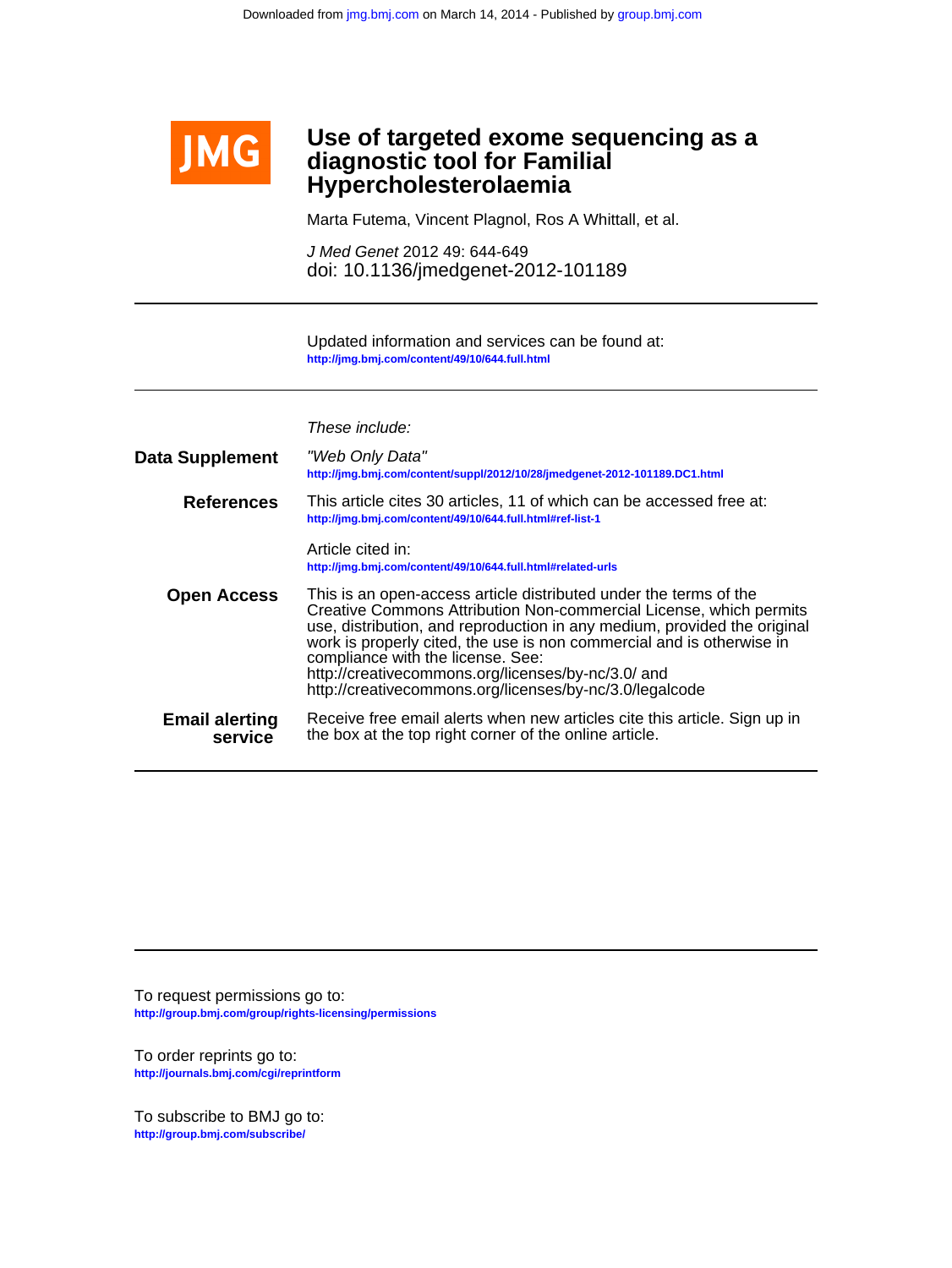

Marta Futema, Vincent Plagnol, Ros A Whittall, et al.

doi: 10.1136/jmedgenet-2012-101189 J Med Genet 2012 49: 644-649

**<http://jmg.bmj.com/content/49/10/644.full.html>** Updated information and services can be found at:

These include:

| Data Supplement                  | "Web Only Data"<br>http://jmg.bmj.com/content/suppl/2012/10/28/jmedgenet-2012-101189.DC1.html                                                                                                                                                                                                                                                                                                                                                      |
|----------------------------------|----------------------------------------------------------------------------------------------------------------------------------------------------------------------------------------------------------------------------------------------------------------------------------------------------------------------------------------------------------------------------------------------------------------------------------------------------|
| <b>References</b>                | This article cites 30 articles, 11 of which can be accessed free at:<br>http://jmg.bmj.com/content/49/10/644.full.html#ref-list-1                                                                                                                                                                                                                                                                                                                  |
|                                  | Article cited in:<br>http://jmg.bmj.com/content/49/10/644.full.html#related-urls                                                                                                                                                                                                                                                                                                                                                                   |
| <b>Open Access</b>               | This is an open-access article distributed under the terms of the<br>Creative Commons Attribution Non-commercial License, which permits<br>use, distribution, and reproduction in any medium, provided the original<br>work is properly cited, the use is non commercial and is otherwise in<br>compliance with the license. See:<br>http://creativecommons.org/licenses/by-nc/3.0/ and<br>http://creativecommons.org/licenses/by-nc/3.0/legalcode |
| <b>Email alerting</b><br>service | Receive free email alerts when new articles cite this article. Sign up in<br>the box at the top right corner of the online article.                                                                                                                                                                                                                                                                                                                |

**<http://group.bmj.com/group/rights-licensing/permissions>** To request permissions go to:

**<http://journals.bmj.com/cgi/reprintform>** To order reprints go to:

**<http://group.bmj.com/subscribe/>** To subscribe to BMJ go to: